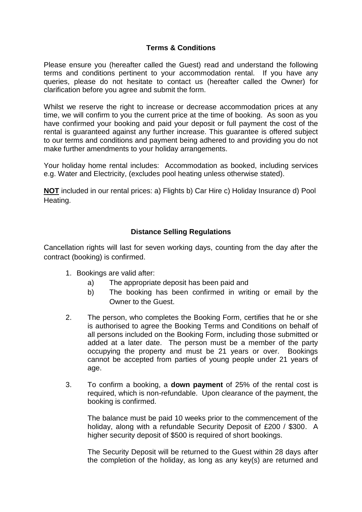# **Terms & Conditions**

Please ensure you (hereafter called the Guest) read and understand the following terms and conditions pertinent to your accommodation rental. If you have any queries, please do not hesitate to contact us (hereafter called the Owner) for clarification before you agree and submit the form.

Whilst we reserve the right to increase or decrease accommodation prices at any time, we will confirm to you the current price at the time of booking. As soon as you have confirmed your booking and paid your deposit or full payment the cost of the rental is guaranteed against any further increase. This guarantee is offered subject to our terms and conditions and payment being adhered to and providing you do not make further amendments to your holiday arrangements.

Your holiday home rental includes: Accommodation as booked, including services e.g. Water and Electricity, (excludes pool heating unless otherwise stated).

**NOT** included in our rental prices: a) Flights b) Car Hire c) Holiday Insurance d) Pool Heating.

## **Distance Selling Regulations**

Cancellation rights will last for seven working days, counting from the day after the contract (booking) is confirmed.

- 1. Bookings are valid after:
	- a) The appropriate deposit has been paid and
	- b) The booking has been confirmed in writing or email by the Owner to the Guest.
- 2. The person, who completes the Booking Form, certifies that he or she is authorised to agree the Booking Terms and Conditions on behalf of all persons included on the Booking Form, including those submitted or added at a later date. The person must be a member of the party occupying the property and must be 21 years or over. Bookings cannot be accepted from parties of young people under 21 years of age.
- 3. To confirm a booking, a **down payment** of 25% of the rental cost is required, which is non-refundable. Upon clearance of the payment, the booking is confirmed.

The balance must be paid 10 weeks prior to the commencement of the holiday, along with a refundable Security Deposit of £200 / \$300. A higher security deposit of \$500 is required of short bookings.

The Security Deposit will be returned to the Guest within 28 days after the completion of the holiday, as long as any key(s) are returned and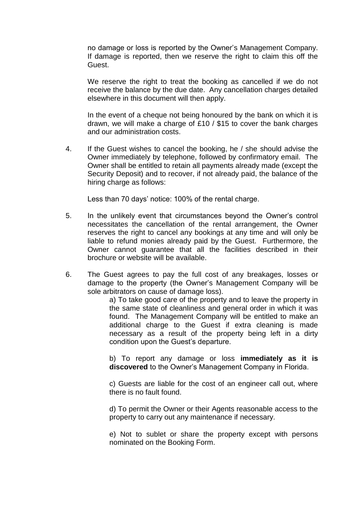no damage or loss is reported by the Owner's Management Company. If damage is reported, then we reserve the right to claim this off the Guest.

We reserve the right to treat the booking as cancelled if we do not receive the balance by the due date. Any cancellation charges detailed elsewhere in this document will then apply.

In the event of a cheque not being honoured by the bank on which it is drawn, we will make a charge of £10 / \$15 to cover the bank charges and our administration costs.

4. If the Guest wishes to cancel the booking, he / she should advise the Owner immediately by telephone, followed by confirmatory email. The Owner shall be entitled to retain all payments already made (except the Security Deposit) and to recover, if not already paid, the balance of the hiring charge as follows:

Less than 70 days' notice: 100% of the rental charge.

- 5. In the unlikely event that circumstances beyond the Owner's control necessitates the cancellation of the rental arrangement, the Owner reserves the right to cancel any bookings at any time and will only be liable to refund monies already paid by the Guest. Furthermore, the Owner cannot guarantee that all the facilities described in their brochure or website will be available.
- 6. The Guest agrees to pay the full cost of any breakages, losses or damage to the property (the Owner's Management Company will be sole arbitrators on cause of damage loss).

a) To take good care of the property and to leave the property in the same state of cleanliness and general order in which it was found. The Management Company will be entitled to make an additional charge to the Guest if extra cleaning is made necessary as a result of the property being left in a dirty condition upon the Guest's departure.

b) To report any damage or loss **immediately as it is discovered** to the Owner's Management Company in Florida.

c) Guests are liable for the cost of an engineer call out, where there is no fault found.

d) To permit the Owner or their Agents reasonable access to the property to carry out any maintenance if necessary.

e) Not to sublet or share the property except with persons nominated on the Booking Form.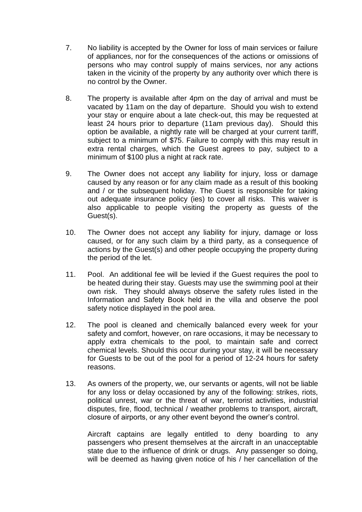- 7. No liability is accepted by the Owner for loss of main services or failure of appliances, nor for the consequences of the actions or omissions of persons who may control supply of mains services, nor any actions taken in the vicinity of the property by any authority over which there is no control by the Owner.
- 8. The property is available after 4pm on the day of arrival and must be vacated by 11am on the day of departure. Should you wish to extend your stay or enquire about a late check-out, this may be requested at least 24 hours prior to departure (11am previous day). Should this option be available, a nightly rate will be charged at your current tariff, subject to a minimum of \$75. Failure to comply with this may result in extra rental charges, which the Guest agrees to pay, subject to a minimum of \$100 plus a night at rack rate.
- 9. The Owner does not accept any liability for injury, loss or damage caused by any reason or for any claim made as a result of this booking and / or the subsequent holiday. The Guest is responsible for taking out adequate insurance policy (ies) to cover all risks. This waiver is also applicable to people visiting the property as guests of the Guest(s).
- 10. The Owner does not accept any liability for injury, damage or loss caused, or for any such claim by a third party, as a consequence of actions by the Guest(s) and other people occupying the property during the period of the let.
- 11. Pool. An additional fee will be levied if the Guest requires the pool to be heated during their stay. Guests may use the swimming pool at their own risk. They should always observe the safety rules listed in the Information and Safety Book held in the villa and observe the pool safety notice displayed in the pool area.
- 12. The pool is cleaned and chemically balanced every week for your safety and comfort, however, on rare occasions, it may be necessary to apply extra chemicals to the pool, to maintain safe and correct chemical levels. Should this occur during your stay, it will be necessary for Guests to be out of the pool for a period of 12-24 hours for safety reasons.
- 13. As owners of the property, we, our servants or agents, will not be liable for any loss or delay occasioned by any of the following: strikes, riots, political unrest, war or the threat of war, terrorist activities, industrial disputes, fire, flood, technical / weather problems to transport, aircraft, closure of airports, or any other event beyond the owner's control.

Aircraft captains are legally entitled to deny boarding to any passengers who present themselves at the aircraft in an unacceptable state due to the influence of drink or drugs. Any passenger so doing, will be deemed as having given notice of his / her cancellation of the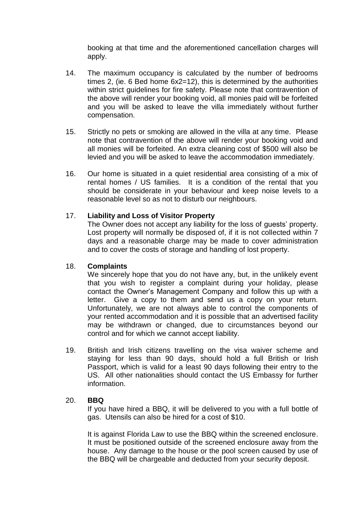booking at that time and the aforementioned cancellation charges will apply.

- 14. The maximum occupancy is calculated by the number of bedrooms times 2, (ie. 6 Bed home 6x2=12), this is determined by the authorities within strict guidelines for fire safety. Please note that contravention of the above will render your booking void, all monies paid will be forfeited and you will be asked to leave the villa immediately without further compensation.
- 15. Strictly no pets or smoking are allowed in the villa at any time. Please note that contravention of the above will render your booking void and all monies will be forfeited. An extra cleaning cost of \$500 will also be levied and you will be asked to leave the accommodation immediately.
- 16. Our home is situated in a quiet residential area consisting of a mix of rental homes / US families. It is a condition of the rental that you should be considerate in your behaviour and keep noise levels to a reasonable level so as not to disturb our neighbours.

### 17. **Liability and Loss of Visitor Property**

The Owner does not accept any liability for the loss of guests' property. Lost property will normally be disposed of, if it is not collected within 7 days and a reasonable charge may be made to cover administration and to cover the costs of storage and handling of lost property.

### 18. **Complaints**

We sincerely hope that you do not have any, but, in the unlikely event that you wish to register a complaint during your holiday, please contact the Owner's Management Company and follow this up with a letter. Give a copy to them and send us a copy on your return. Unfortunately, we are not always able to control the components of your rented accommodation and it is possible that an advertised facility may be withdrawn or changed, due to circumstances beyond our control and for which we cannot accept liability.

19. British and Irish citizens travelling on the visa waiver scheme and staying for less than 90 days, should hold a full British or Irish Passport, which is valid for a least 90 days following their entry to the US. All other nationalities should contact the US Embassy for further information.

### 20. **BBQ**

If you have hired a BBQ, it will be delivered to you with a full bottle of gas. Utensils can also be hired for a cost of \$10.

It is against Florida Law to use the BBQ within the screened enclosure. It must be positioned outside of the screened enclosure away from the house. Any damage to the house or the pool screen caused by use of the BBQ will be chargeable and deducted from your security deposit.